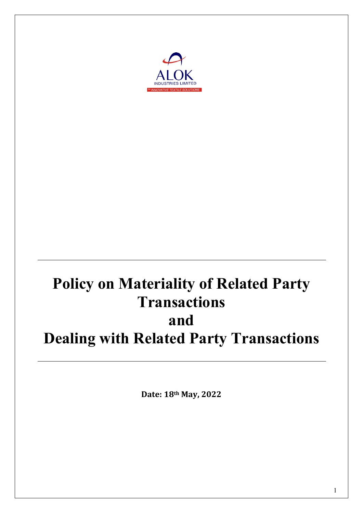

# **Policy on Materiality of Related Party Transactions and Dealing with Related Party Transactions**

**Date: 18th May, 2022**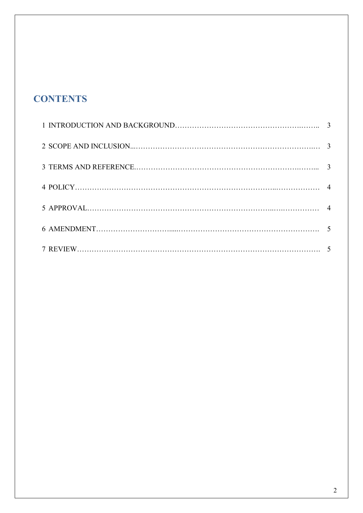# **CONTENTS**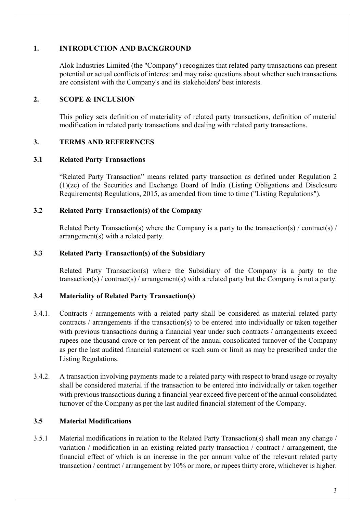# **1. INTRODUCTION AND BACKGROUND**

Alok Industries Limited (the "Company") recognizes that related party transactions can present potential or actual conflicts of interest and may raise questions about whether such transactions are consistent with the Company's and its stakeholders' best interests.

#### **2. SCOPE & INCLUSION**

This policy sets definition of materiality of related party transactions, definition of material modification in related party transactions and dealing with related party transactions.

#### **3. TERMS AND REFERENCES**

#### **3.1 Related Party Transactions**

"Related Party Transaction" means related party transaction as defined under Regulation 2 (1)(zc) of the Securities and Exchange Board of India (Listing Obligations and Disclosure Requirements) Regulations, 2015, as amended from time to time ("Listing Regulations").

#### **3.2 Related Party Transaction(s) of the Company**

Related Party Transaction(s) where the Company is a party to the transaction(s) / contract(s) / arrangement(s) with a related party.

#### **3.3 Related Party Transaction(s) of the Subsidiary**

Related Party Transaction(s) where the Subsidiary of the Company is a party to the transaction(s) / contract(s) / arrangement(s) with a related party but the Company is not a party.

#### **3.4 Materiality of Related Party Transaction(s)**

- 3.4.1. Contracts / arrangements with a related party shall be considered as material related party contracts / arrangements if the transaction(s) to be entered into individually or taken together with previous transactions during a financial year under such contracts / arrangements exceed rupees one thousand crore or ten percent of the annual consolidated turnover of the Company as per the last audited financial statement or such sum or limit as may be prescribed under the Listing Regulations.
- 3.4.2. A transaction involving payments made to a related party with respect to brand usage or royalty shall be considered material if the transaction to be entered into individually or taken together with previous transactions during a financial year exceed five percent of the annual consolidated turnover of the Company as per the last audited financial statement of the Company.

#### **3.5 Material Modifications**

3.5.1 Material modifications in relation to the Related Party Transaction(s) shall mean any change / variation / modification in an existing related party transaction / contract / arrangement, the financial effect of which is an increase in the per annum value of the relevant related party transaction / contract / arrangement by 10% or more, or rupees thirty crore, whichever is higher.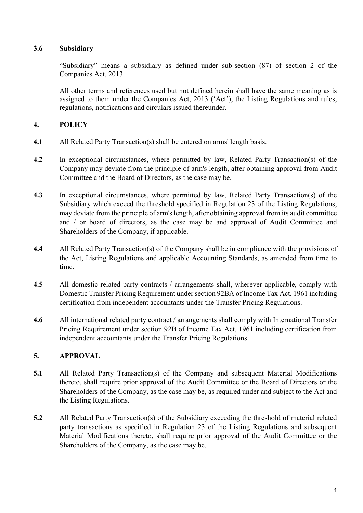# **3.6 Subsidiary**

"Subsidiary" means a subsidiary as defined under sub-section (87) of section 2 of the Companies Act, 2013.

All other terms and references used but not defined herein shall have the same meaning as is assigned to them under the Companies Act, 2013 ('Act'), the Listing Regulations and rules, regulations, notifications and circulars issued thereunder.

# **4. POLICY**

- **4.1** All Related Party Transaction(s) shall be entered on arms' length basis.
- **4.2** In exceptional circumstances, where permitted by law, Related Party Transaction(s) of the Company may deviate from the principle of arm's length, after obtaining approval from Audit Committee and the Board of Directors, as the case may be.
- **4.3** In exceptional circumstances, where permitted by law, Related Party Transaction(s) of the Subsidiary which exceed the threshold specified in Regulation 23 of the Listing Regulations, may deviate from the principle of arm's length, after obtaining approval from its audit committee and / or board of directors, as the case may be and approval of Audit Committee and Shareholders of the Company, if applicable.
- **4.4** All Related Party Transaction(s) of the Company shall be in compliance with the provisions of the Act, Listing Regulations and applicable Accounting Standards, as amended from time to time.
- **4.5** All domestic related party contracts / arrangements shall, wherever applicable, comply with Domestic Transfer Pricing Requirement under section 92BA of Income Tax Act, 1961 including certification from independent accountants under the Transfer Pricing Regulations.
- **4.6** All international related party contract / arrangements shall comply with International Transfer Pricing Requirement under section 92B of Income Tax Act, 1961 including certification from independent accountants under the Transfer Pricing Regulations.

# **5. APPROVAL**

- **5.1** All Related Party Transaction(s) of the Company and subsequent Material Modifications thereto, shall require prior approval of the Audit Committee or the Board of Directors or the Shareholders of the Company, as the case may be, as required under and subject to the Act and the Listing Regulations.
- **5.2** All Related Party Transaction(s) of the Subsidiary exceeding the threshold of material related party transactions as specified in Regulation 23 of the Listing Regulations and subsequent Material Modifications thereto, shall require prior approval of the Audit Committee or the Shareholders of the Company, as the case may be.